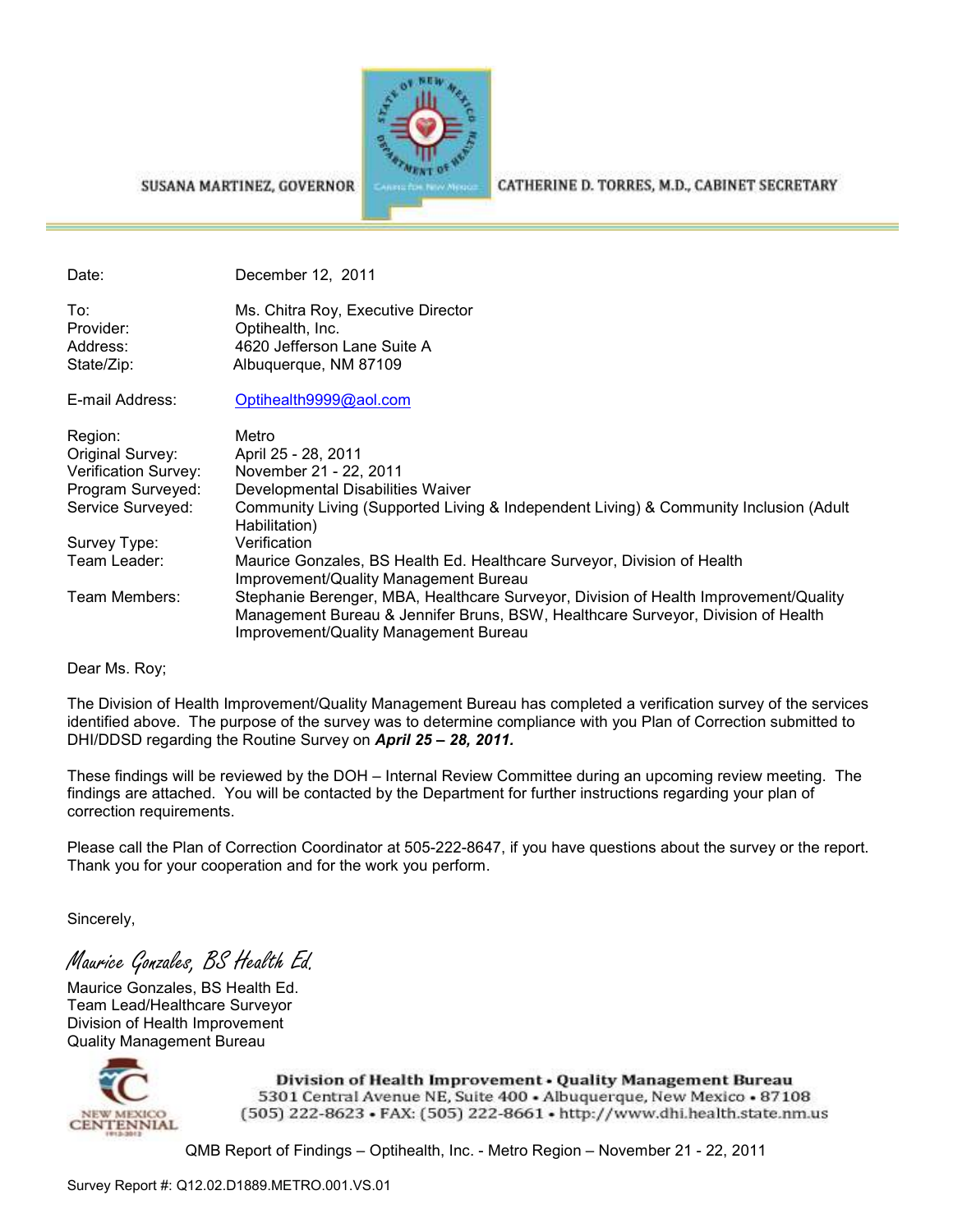

#### SUSANA MARTINEZ, GOVERNOR

CATHERINE D. TORRES, M.D., CABINET SECRETARY

Date: December 12, 2011

To: Ms. Chitra Roy, Executive Director Provider: Optihealth, Inc. Address: 4620 Jefferson Lane Suite A State/Zip: Albuquerque, NM 87109

E-mail Address: Optihealth9999@aol.com

| Region:              | Metro                                                                                                                                                                                                             |
|----------------------|-------------------------------------------------------------------------------------------------------------------------------------------------------------------------------------------------------------------|
| Original Survey:     | April 25 - 28, 2011                                                                                                                                                                                               |
| Verification Survey: | November 21 - 22, 2011                                                                                                                                                                                            |
| Program Surveyed:    | Developmental Disabilities Waiver                                                                                                                                                                                 |
| Service Surveyed:    | Community Living (Supported Living & Independent Living) & Community Inclusion (Adult<br>Habilitation)                                                                                                            |
| Survey Type:         | Verification                                                                                                                                                                                                      |
| Team Leader:         | Maurice Gonzales, BS Health Ed. Healthcare Surveyor, Division of Health<br>Improvement/Quality Management Bureau                                                                                                  |
| Team Members:        | Stephanie Berenger, MBA, Healthcare Surveyor, Division of Health Improvement/Quality<br>Management Bureau & Jennifer Bruns, BSW, Healthcare Surveyor, Division of Health<br>Improvement/Quality Management Bureau |

Dear Ms. Roy;

The Division of Health Improvement/Quality Management Bureau has completed a verification survey of the services identified above. The purpose of the survey was to determine compliance with you Plan of Correction submitted to DHI/DDSD regarding the Routine Survey on *April 25 – 28, 2011.* 

These findings will be reviewed by the DOH – Internal Review Committee during an upcoming review meeting. The findings are attached. You will be contacted by the Department for further instructions regarding your plan of correction requirements.

Please call the Plan of Correction Coordinator at 505-222-8647, if you have questions about the survey or the report. Thank you for your cooperation and for the work you perform.

Sincerely,

Maurice Gonzales, BS Health Ed.

Maurice Gonzales, BS Health Ed. Team Lead/Healthcare Surveyor Division of Health Improvement Quality Management Bureau



Division of Health Improvement . Quality Management Bureau 5301 Central Avenue NE, Suite 400 . Albuquerque, New Mexico . 87108 (505) 222-8623 • FAX: (505) 222-8661 • http://www.dhi.health.state.nm.us

QMB Report of Findings – Optihealth, Inc. - Metro Region – November 21 - 22, 2011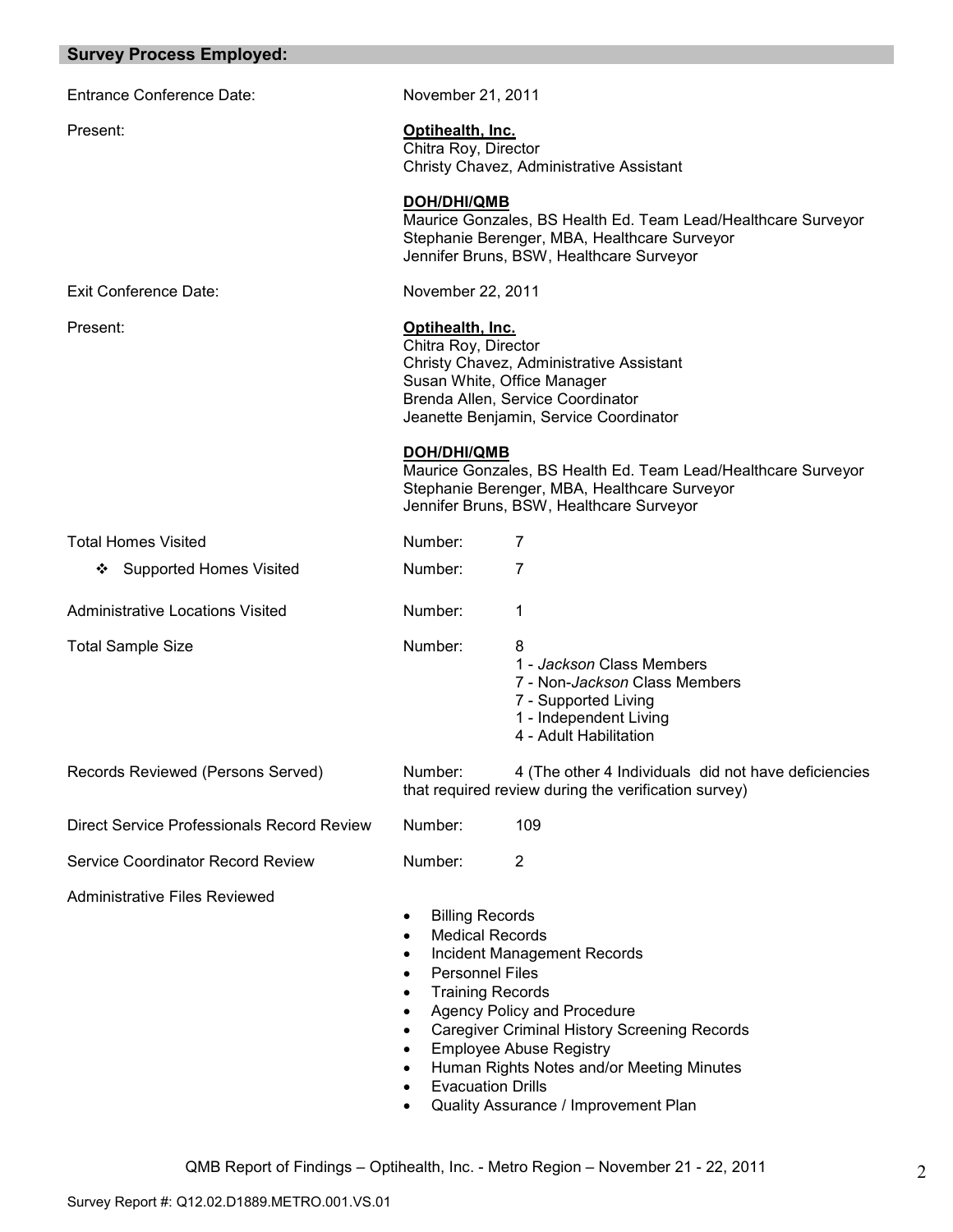| <b>Survey Process Employed:</b>            |                                                                                                                                                                                                                           |                                                                                                                                                                                                                                          |
|--------------------------------------------|---------------------------------------------------------------------------------------------------------------------------------------------------------------------------------------------------------------------------|------------------------------------------------------------------------------------------------------------------------------------------------------------------------------------------------------------------------------------------|
| <b>Entrance Conference Date:</b>           | November 21, 2011                                                                                                                                                                                                         |                                                                                                                                                                                                                                          |
| Present:                                   | Optihealth, Inc.<br>Chitra Roy, Director                                                                                                                                                                                  | Christy Chavez, Administrative Assistant                                                                                                                                                                                                 |
|                                            | DOH/DHI/QMB                                                                                                                                                                                                               | Maurice Gonzales, BS Health Ed. Team Lead/Healthcare Surveyor<br>Stephanie Berenger, MBA, Healthcare Surveyor<br>Jennifer Bruns, BSW, Healthcare Surveyor                                                                                |
| Exit Conference Date:                      | November 22, 2011                                                                                                                                                                                                         |                                                                                                                                                                                                                                          |
| Present:                                   | Optihealth, Inc.<br>Chitra Roy, Director<br>Susan White, Office Manager                                                                                                                                                   | Christy Chavez, Administrative Assistant<br>Brenda Allen, Service Coordinator<br>Jeanette Benjamin, Service Coordinator                                                                                                                  |
|                                            | <b>DOH/DHI/QMB</b>                                                                                                                                                                                                        | Maurice Gonzales, BS Health Ed. Team Lead/Healthcare Surveyor<br>Stephanie Berenger, MBA, Healthcare Surveyor<br>Jennifer Bruns, BSW, Healthcare Surveyor                                                                                |
| <b>Total Homes Visited</b>                 | Number:                                                                                                                                                                                                                   | 7                                                                                                                                                                                                                                        |
| <b>Supported Homes Visited</b><br>❖        | Number:                                                                                                                                                                                                                   | $\overline{7}$                                                                                                                                                                                                                           |
| <b>Administrative Locations Visited</b>    | Number:                                                                                                                                                                                                                   | 1                                                                                                                                                                                                                                        |
| <b>Total Sample Size</b>                   | Number:                                                                                                                                                                                                                   | 8<br>1 - Jackson Class Members<br>7 - Non-Jackson Class Members<br>7 - Supported Living<br>1 - Independent Living<br>4 - Adult Habilitation                                                                                              |
| Records Reviewed (Persons Served)          | Number:                                                                                                                                                                                                                   | 4 (The other 4 Individuals did not have deficiencies<br>that required review during the verification survey)                                                                                                                             |
| Direct Service Professionals Record Review | Number:                                                                                                                                                                                                                   | 109                                                                                                                                                                                                                                      |
| <b>Service Coordinator Record Review</b>   | Number:                                                                                                                                                                                                                   | $\overline{2}$                                                                                                                                                                                                                           |
| <b>Administrative Files Reviewed</b>       | <b>Billing Records</b><br>٠<br><b>Medical Records</b><br>٠<br><b>Personnel Files</b><br>$\bullet$<br><b>Training Records</b><br>$\bullet$<br>$\bullet$<br>$\bullet$<br>$\bullet$<br>$\bullet$<br><b>Evacuation Drills</b> | Incident Management Records<br>Agency Policy and Procedure<br><b>Caregiver Criminal History Screening Records</b><br><b>Employee Abuse Registry</b><br>Human Rights Notes and/or Meeting Minutes<br>Quality Assurance / Improvement Plan |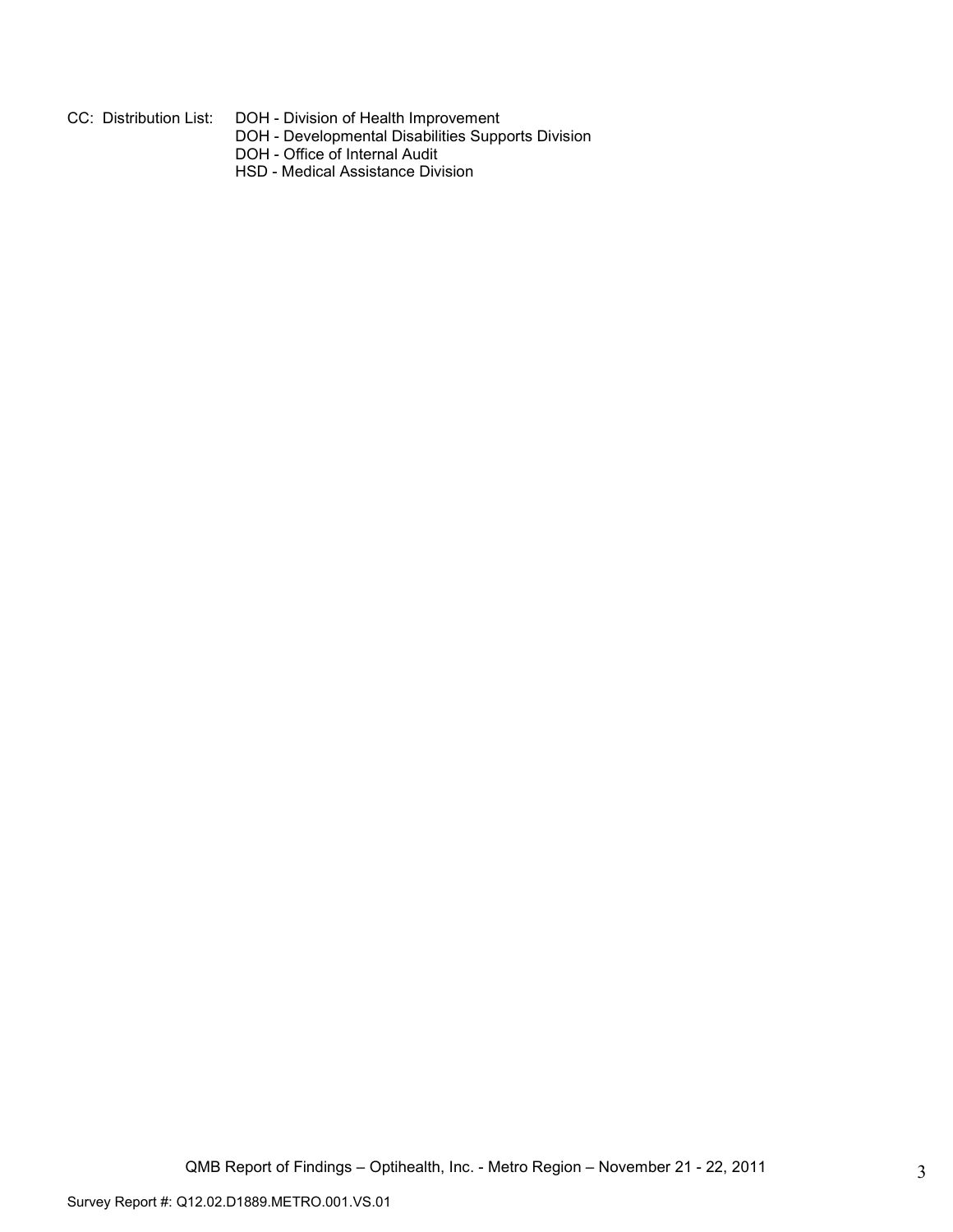- CC: Distribution List: DOH Division of Health Improvement
- DOH Developmental Disabilities Supports Division
- DOH Office of Internal Audit
	- HSD Medical Assistance Division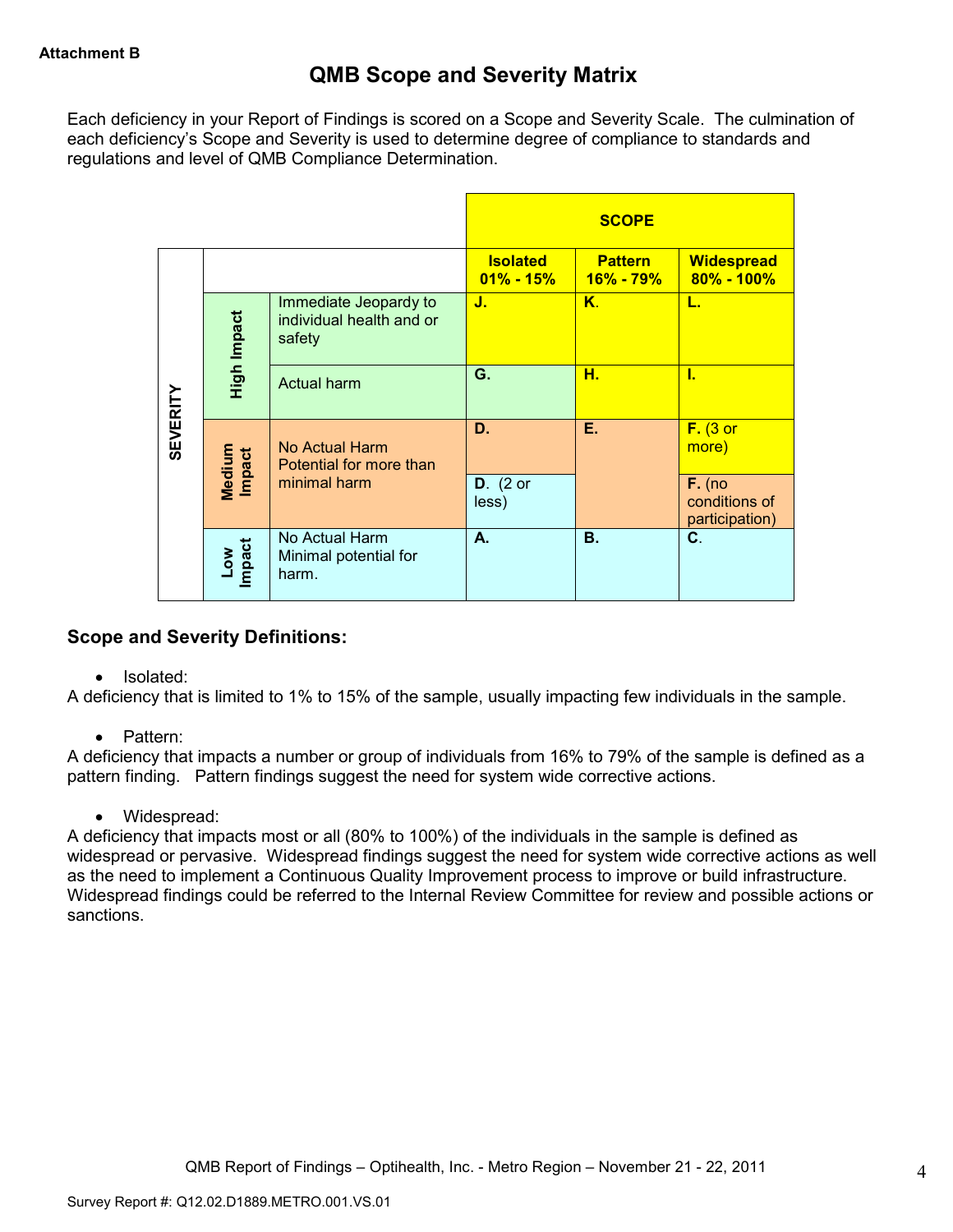Each deficiency in your Report of Findings is scored on a Scope and Severity Scale. The culmination of each deficiency's Scope and Severity is used to determine degree of compliance to standards and regulations and level of QMB Compliance Determination.

|                 |                  |                                                             |                                  | <b>SCOPE</b>                                |                                     |
|-----------------|------------------|-------------------------------------------------------------|----------------------------------|---------------------------------------------|-------------------------------------|
|                 |                  |                                                             | <b>Isolated</b><br>$01\% - 15\%$ | <b>Pattern</b><br>$16\% - 79\%$             | <b>Widespread</b><br>$80\% - 100\%$ |
|                 | High Impact      | Immediate Jeopardy to<br>individual health and or<br>safety | J.                               | K.                                          | L.                                  |
|                 |                  | <b>Actual harm</b>                                          | G.                               | н.                                          | ī.                                  |
| <b>SEVERITY</b> | Medium<br>Impact | No Actual Harm<br>Potential for more than                   | D.                               | Е.                                          | $F.$ (3 or<br>more)                 |
|                 | minimal harm     | $D.$ (2 or<br>less)                                         |                                  | $F.$ (no<br>conditions of<br>participation) |                                     |
|                 | Low<br>Impact    | No Actual Harm<br>Minimal potential for<br>harm.            | А.                               | <b>B.</b>                                   | C.                                  |

# **Scope and Severity Definitions:**

• Isolated:

A deficiency that is limited to 1% to 15% of the sample, usually impacting few individuals in the sample.

• Pattern:

A deficiency that impacts a number or group of individuals from 16% to 79% of the sample is defined as a pattern finding. Pattern findings suggest the need for system wide corrective actions.

• Widespread:

A deficiency that impacts most or all (80% to 100%) of the individuals in the sample is defined as widespread or pervasive. Widespread findings suggest the need for system wide corrective actions as well as the need to implement a Continuous Quality Improvement process to improve or build infrastructure. Widespread findings could be referred to the Internal Review Committee for review and possible actions or sanctions.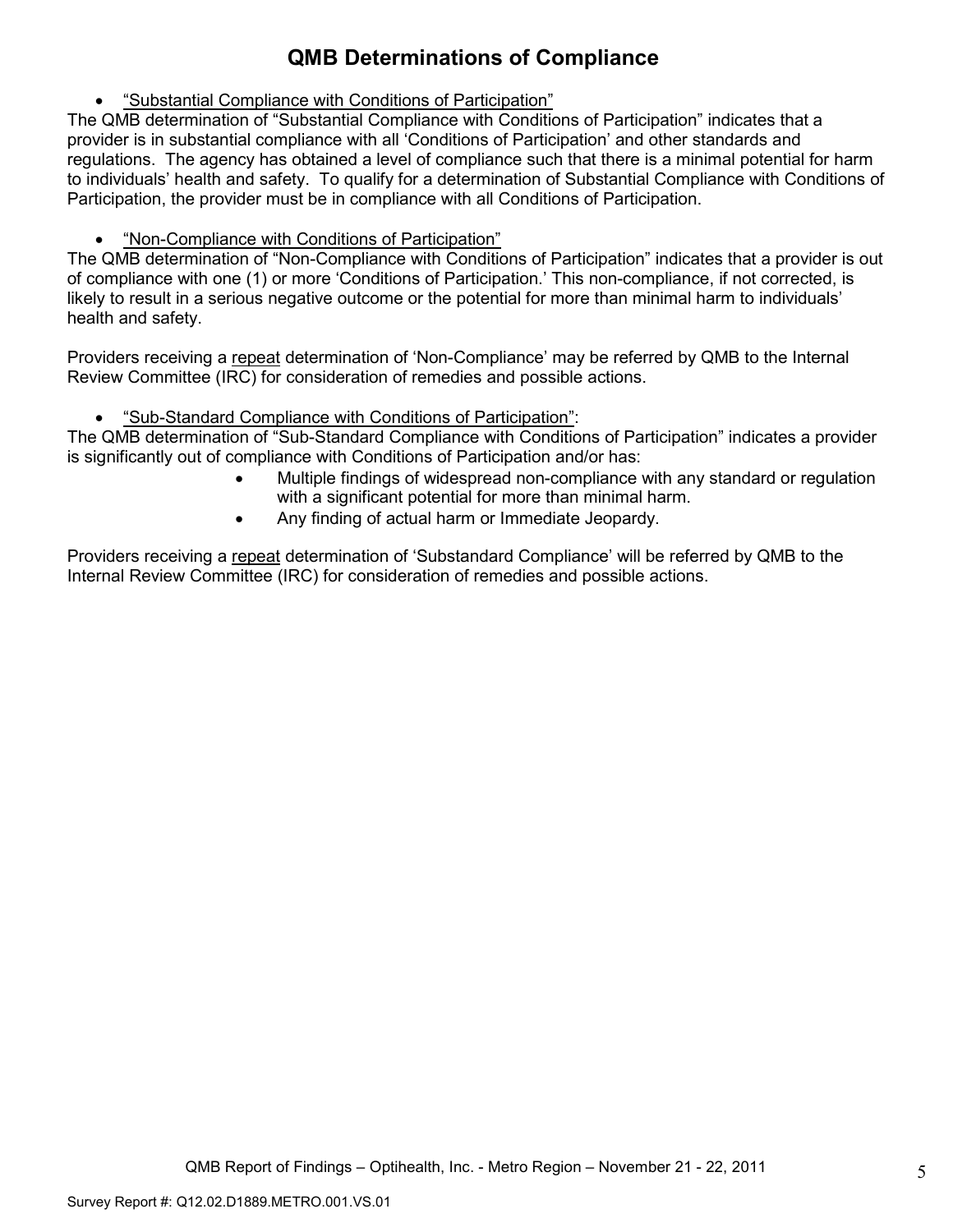# **QMB Determinations of Compliance**

• "Substantial Compliance with Conditions of Participation"

The QMB determination of "Substantial Compliance with Conditions of Participation" indicates that a provider is in substantial compliance with all 'Conditions of Participation' and other standards and regulations. The agency has obtained a level of compliance such that there is a minimal potential for harm to individuals' health and safety. To qualify for a determination of Substantial Compliance with Conditions of Participation, the provider must be in compliance with all Conditions of Participation.

• "Non-Compliance with Conditions of Participation"

The QMB determination of "Non-Compliance with Conditions of Participation" indicates that a provider is out of compliance with one (1) or more 'Conditions of Participation.' This non-compliance, if not corrected, is likely to result in a serious negative outcome or the potential for more than minimal harm to individuals' health and safety.

Providers receiving a repeat determination of 'Non-Compliance' may be referred by QMB to the Internal Review Committee (IRC) for consideration of remedies and possible actions.

• "Sub-Standard Compliance with Conditions of Participation":

The QMB determination of "Sub-Standard Compliance with Conditions of Participation" indicates a provider is significantly out of compliance with Conditions of Participation and/or has:

- Multiple findings of widespread non-compliance with any standard or regulation with a significant potential for more than minimal harm.
- Any finding of actual harm or Immediate Jeopardy.

Providers receiving a repeat determination of 'Substandard Compliance' will be referred by QMB to the Internal Review Committee (IRC) for consideration of remedies and possible actions.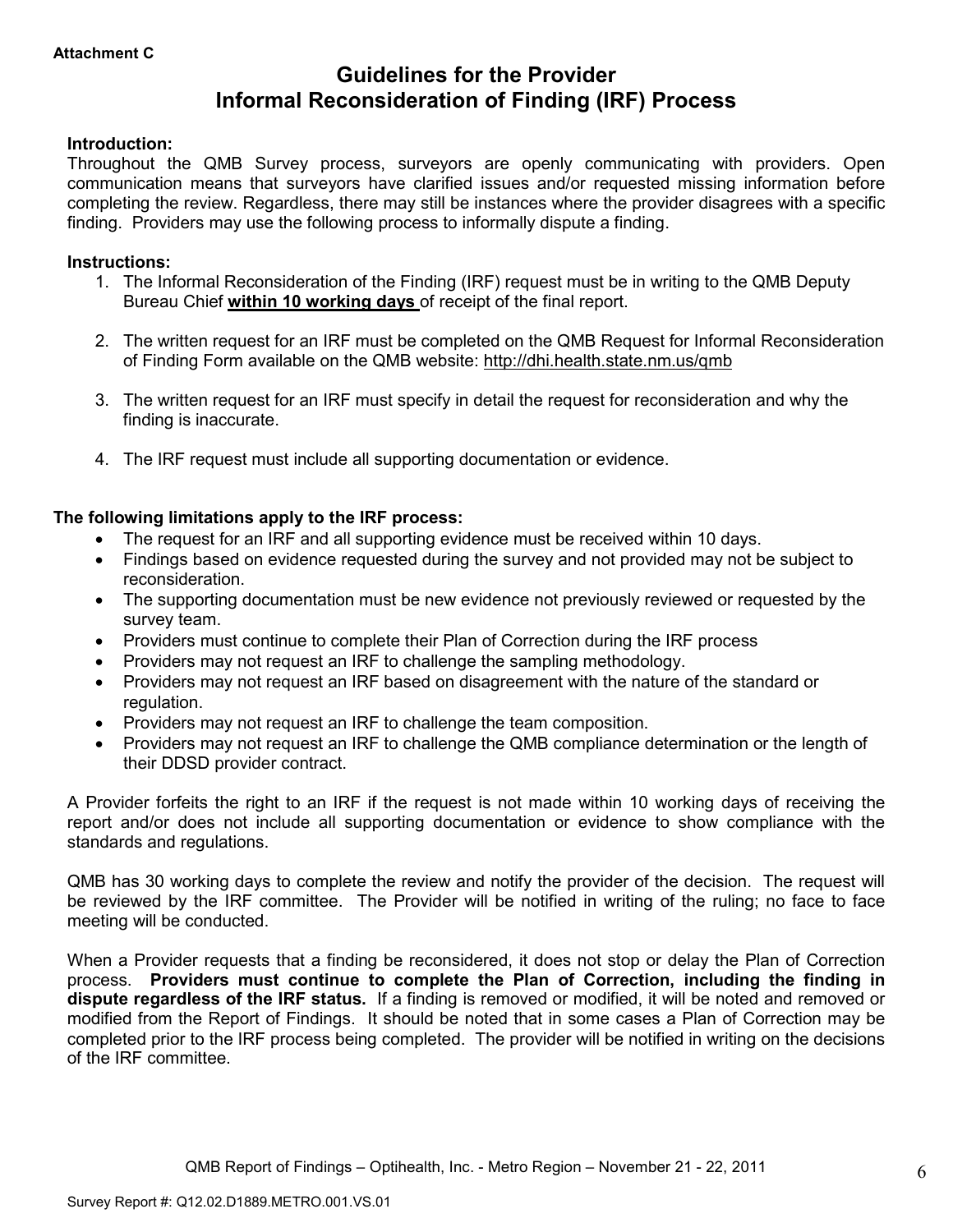# **Guidelines for the Provider Informal Reconsideration of Finding (IRF) Process**

#### **Introduction:**

Throughout the QMB Survey process, surveyors are openly communicating with providers. Open communication means that surveyors have clarified issues and/or requested missing information before completing the review. Regardless, there may still be instances where the provider disagrees with a specific finding. Providers may use the following process to informally dispute a finding.

#### **Instructions:**

- 1. The Informal Reconsideration of the Finding (IRF) request must be in writing to the QMB Deputy Bureau Chief **within 10 working days** of receipt of the final report.
- 2. The written request for an IRF must be completed on the QMB Request for Informal Reconsideration of Finding Form available on the QMB website: http://dhi.health.state.nm.us/qmb
- 3. The written request for an IRF must specify in detail the request for reconsideration and why the finding is inaccurate.
- 4. The IRF request must include all supporting documentation or evidence.

### **The following limitations apply to the IRF process:**

- The request for an IRF and all supporting evidence must be received within 10 days.
- Findings based on evidence requested during the survey and not provided may not be subject to reconsideration.
- The supporting documentation must be new evidence not previously reviewed or requested by the survey team.
- Providers must continue to complete their Plan of Correction during the IRF process
- Providers may not request an IRF to challenge the sampling methodology.
- Providers may not request an IRF based on disagreement with the nature of the standard or regulation.
- Providers may not request an IRF to challenge the team composition.
- Providers may not request an IRF to challenge the QMB compliance determination or the length of their DDSD provider contract.

A Provider forfeits the right to an IRF if the request is not made within 10 working days of receiving the report and/or does not include all supporting documentation or evidence to show compliance with the standards and regulations.

QMB has 30 working days to complete the review and notify the provider of the decision. The request will be reviewed by the IRF committee. The Provider will be notified in writing of the ruling; no face to face meeting will be conducted.

When a Provider requests that a finding be reconsidered, it does not stop or delay the Plan of Correction process. **Providers must continue to complete the Plan of Correction, including the finding in dispute regardless of the IRF status.** If a finding is removed or modified, it will be noted and removed or modified from the Report of Findings. It should be noted that in some cases a Plan of Correction may be completed prior to the IRF process being completed. The provider will be notified in writing on the decisions of the IRF committee.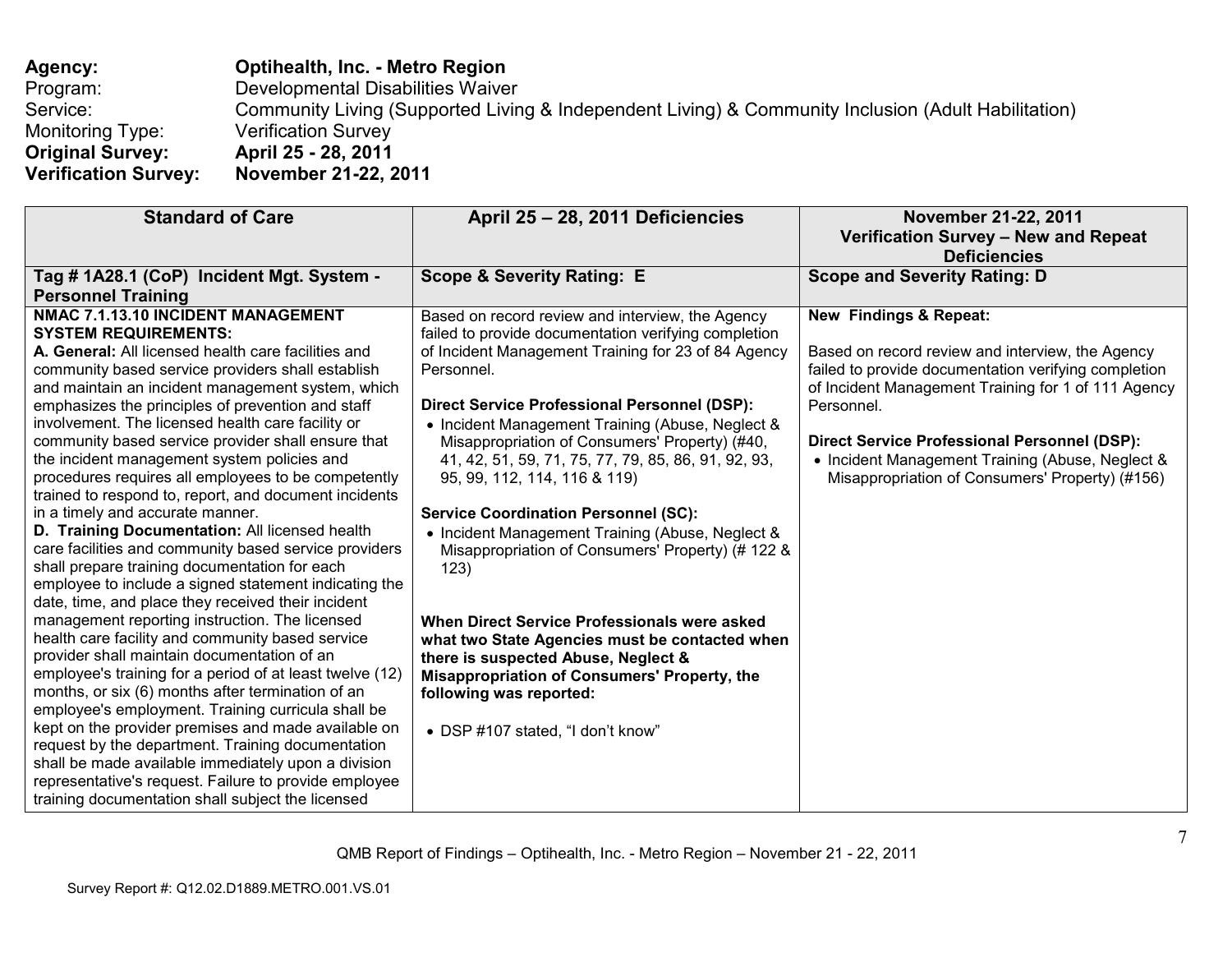# **Agency: Optihealth, Inc. - Metro Region**  Program: Developmental Disabilities Waiver Service: Community Living (Supported Living & Independent Living) & Community Inclusion (Adult Habilitation) Monitoring Type: Verification Survey<br> **Original Survey:** April 25 - 28, 2011 **Original Survey: April 25 - 28, 2011 Verification Survey: November 21-22, 2011**

| <b>Standard of Care</b>                                                                                 | April 25 - 28, 2011 Deficiencies                     | November 21-22, 2011                                 |
|---------------------------------------------------------------------------------------------------------|------------------------------------------------------|------------------------------------------------------|
|                                                                                                         |                                                      | Verification Survey - New and Repeat                 |
|                                                                                                         |                                                      | <b>Deficiencies</b>                                  |
| Tag # 1A28.1 (CoP) Incident Mgt. System -                                                               | <b>Scope &amp; Severity Rating: E</b>                | <b>Scope and Severity Rating: D</b>                  |
| <b>Personnel Training</b>                                                                               |                                                      |                                                      |
| NMAC 7.1.13.10 INCIDENT MANAGEMENT                                                                      | Based on record review and interview, the Agency     | New Findings & Repeat:                               |
| <b>SYSTEM REQUIREMENTS:</b>                                                                             | failed to provide documentation verifying completion |                                                      |
| A. General: All licensed health care facilities and                                                     | of Incident Management Training for 23 of 84 Agency  | Based on record review and interview, the Agency     |
| community based service providers shall establish                                                       | Personnel.                                           | failed to provide documentation verifying completion |
| and maintain an incident management system, which                                                       |                                                      | of Incident Management Training for 1 of 111 Agency  |
| emphasizes the principles of prevention and staff                                                       | <b>Direct Service Professional Personnel (DSP):</b>  | Personnel.                                           |
| involvement. The licensed health care facility or                                                       | • Incident Management Training (Abuse, Neglect &     |                                                      |
| community based service provider shall ensure that                                                      | Misappropriation of Consumers' Property) (#40,       | <b>Direct Service Professional Personnel (DSP):</b>  |
| the incident management system policies and                                                             | 41, 42, 51, 59, 71, 75, 77, 79, 85, 86, 91, 92, 93,  | • Incident Management Training (Abuse, Neglect &     |
| procedures requires all employees to be competently                                                     | 95, 99, 112, 114, 116 & 119)                         | Misappropriation of Consumers' Property) (#156)      |
| trained to respond to, report, and document incidents                                                   |                                                      |                                                      |
| in a timely and accurate manner.                                                                        | <b>Service Coordination Personnel (SC):</b>          |                                                      |
| D. Training Documentation: All licensed health                                                          | • Incident Management Training (Abuse, Neglect &     |                                                      |
| care facilities and community based service providers                                                   | Misappropriation of Consumers' Property) (# 122 &    |                                                      |
| shall prepare training documentation for each                                                           | 123)                                                 |                                                      |
| employee to include a signed statement indicating the                                                   |                                                      |                                                      |
| date, time, and place they received their incident                                                      |                                                      |                                                      |
| management reporting instruction. The licensed                                                          | When Direct Service Professionals were asked         |                                                      |
| health care facility and community based service                                                        | what two State Agencies must be contacted when       |                                                      |
| provider shall maintain documentation of an<br>employee's training for a period of at least twelve (12) | there is suspected Abuse, Neglect &                  |                                                      |
| months, or six (6) months after termination of an                                                       | <b>Misappropriation of Consumers' Property, the</b>  |                                                      |
| employee's employment. Training curricula shall be                                                      | following was reported:                              |                                                      |
| kept on the provider premises and made available on                                                     |                                                      |                                                      |
| request by the department. Training documentation                                                       | • DSP #107 stated, "I don't know"                    |                                                      |
| shall be made available immediately upon a division                                                     |                                                      |                                                      |
| representative's request. Failure to provide employee                                                   |                                                      |                                                      |
|                                                                                                         |                                                      |                                                      |
| training documentation shall subject the licensed                                                       |                                                      |                                                      |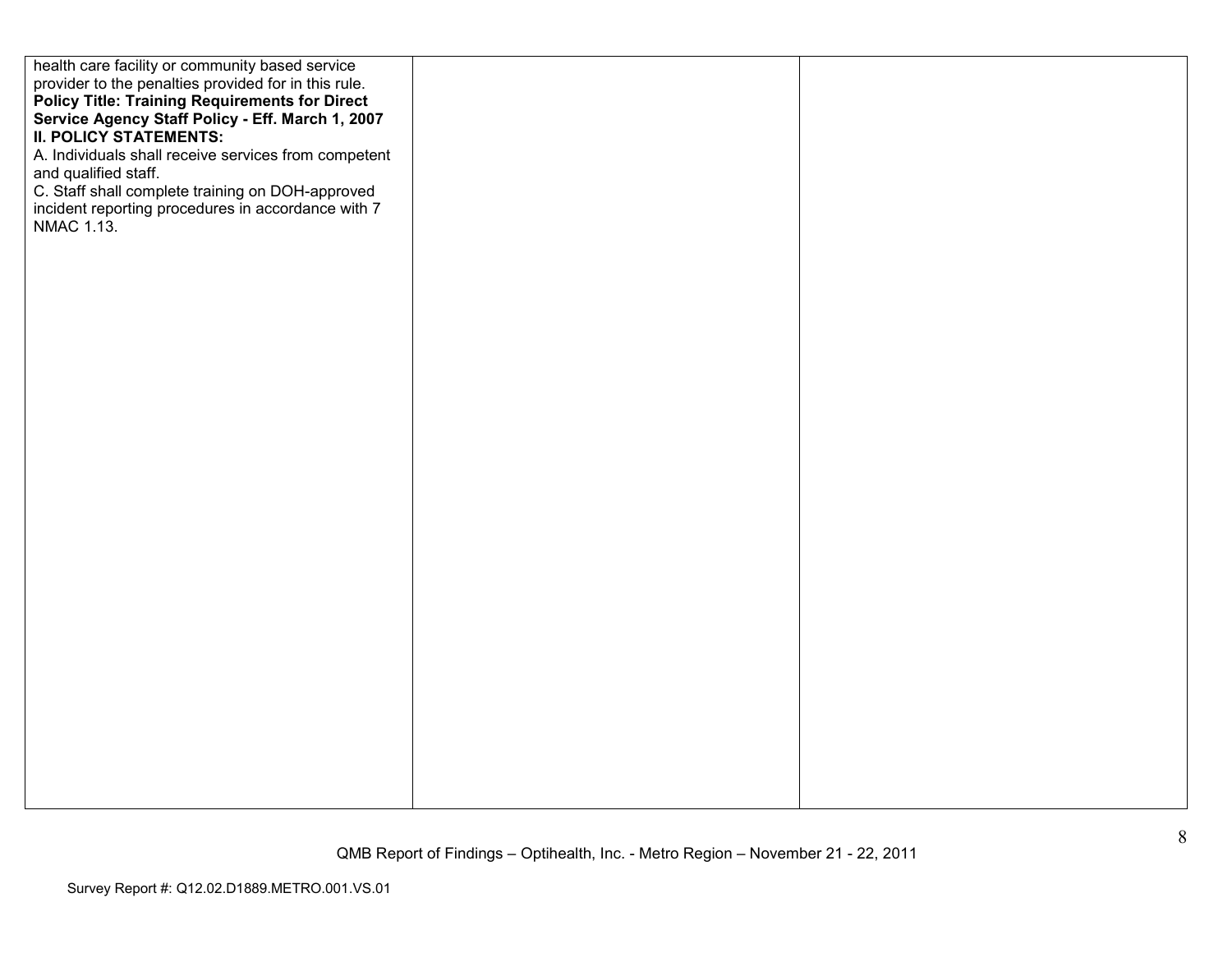| health care facility or community based service       |  |
|-------------------------------------------------------|--|
| provider to the penalties provided for in this rule.  |  |
|                                                       |  |
| <b>Policy Title: Training Requirements for Direct</b> |  |
| Service Agency Staff Policy - Eff. March 1, 2007      |  |
| <b>II. POLICY STATEMENTS:</b>                         |  |
|                                                       |  |
| A. Individuals shall receive services from competent  |  |
| and qualified staff.                                  |  |
|                                                       |  |
| C. Staff shall complete training on DOH-approved      |  |
| incident reporting procedures in accordance with 7    |  |
| NMAC 1.13.                                            |  |
|                                                       |  |
|                                                       |  |
|                                                       |  |
|                                                       |  |
|                                                       |  |
|                                                       |  |
|                                                       |  |
|                                                       |  |
|                                                       |  |
|                                                       |  |
|                                                       |  |
|                                                       |  |
|                                                       |  |
|                                                       |  |
|                                                       |  |
|                                                       |  |
|                                                       |  |
|                                                       |  |
|                                                       |  |
|                                                       |  |
|                                                       |  |
|                                                       |  |
|                                                       |  |
|                                                       |  |
|                                                       |  |
|                                                       |  |
|                                                       |  |
|                                                       |  |
|                                                       |  |
|                                                       |  |
|                                                       |  |
|                                                       |  |
|                                                       |  |
|                                                       |  |
|                                                       |  |
|                                                       |  |
|                                                       |  |
|                                                       |  |
|                                                       |  |
|                                                       |  |
|                                                       |  |
|                                                       |  |
|                                                       |  |
|                                                       |  |
|                                                       |  |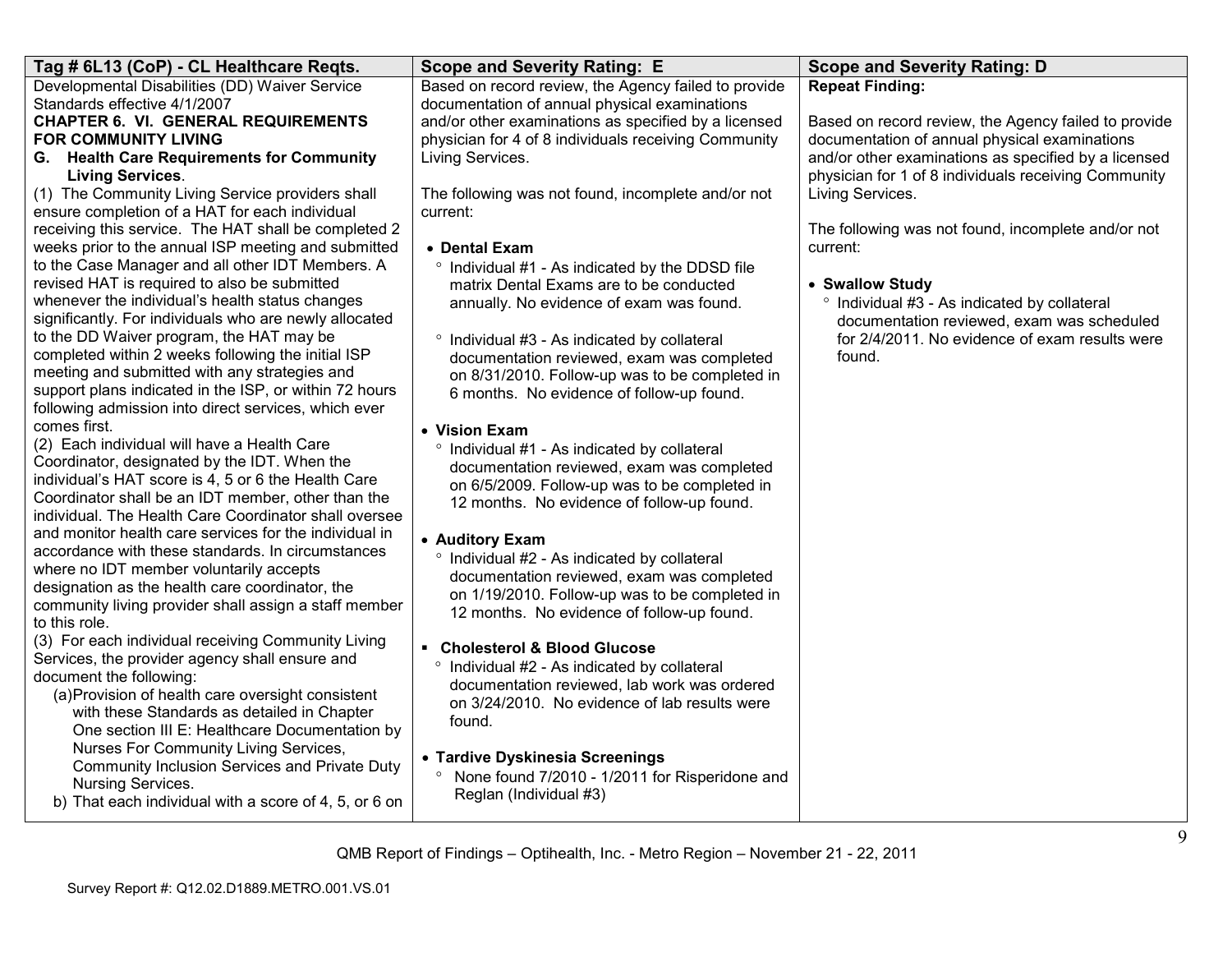| Tag # 6L13 (CoP) - CL Healthcare Reqts.                                                        | <b>Scope and Severity Rating: E</b>                                                         | <b>Scope and Severity Rating: D</b>                  |
|------------------------------------------------------------------------------------------------|---------------------------------------------------------------------------------------------|------------------------------------------------------|
| Developmental Disabilities (DD) Waiver Service                                                 | Based on record review, the Agency failed to provide                                        | <b>Repeat Finding:</b>                               |
| Standards effective 4/1/2007                                                                   | documentation of annual physical examinations                                               |                                                      |
| <b>CHAPTER 6. VI. GENERAL REQUIREMENTS</b>                                                     | and/or other examinations as specified by a licensed                                        | Based on record review, the Agency failed to provide |
| <b>FOR COMMUNITY LIVING</b>                                                                    | physician for 4 of 8 individuals receiving Community                                        | documentation of annual physical examinations        |
| G. Health Care Requirements for Community                                                      | Living Services.                                                                            | and/or other examinations as specified by a licensed |
| <b>Living Services.</b>                                                                        |                                                                                             | physician for 1 of 8 individuals receiving Community |
| (1) The Community Living Service providers shall                                               | The following was not found, incomplete and/or not                                          | Living Services.                                     |
| ensure completion of a HAT for each individual                                                 | current:                                                                                    |                                                      |
| receiving this service. The HAT shall be completed 2                                           |                                                                                             | The following was not found, incomplete and/or not   |
| weeks prior to the annual ISP meeting and submitted                                            | • Dental Exam                                                                               | current:                                             |
| to the Case Manager and all other IDT Members. A                                               | ° Individual #1 - As indicated by the DDSD file                                             |                                                      |
| revised HAT is required to also be submitted                                                   | matrix Dental Exams are to be conducted                                                     | • Swallow Study                                      |
| whenever the individual's health status changes                                                | annually. No evidence of exam was found.                                                    | ° Individual #3 - As indicated by collateral         |
| significantly. For individuals who are newly allocated                                         |                                                                                             | documentation reviewed, exam was scheduled           |
| to the DD Waiver program, the HAT may be<br>completed within 2 weeks following the initial ISP | ° Individual #3 - As indicated by collateral                                                | for 2/4/2011. No evidence of exam results were       |
| meeting and submitted with any strategies and                                                  | documentation reviewed, exam was completed                                                  | found.                                               |
| support plans indicated in the ISP, or within 72 hours                                         | on 8/31/2010. Follow-up was to be completed in                                              |                                                      |
| following admission into direct services, which ever                                           | 6 months. No evidence of follow-up found.                                                   |                                                      |
| comes first.                                                                                   |                                                                                             |                                                      |
| (2) Each individual will have a Health Care                                                    | • Vision Exam                                                                               |                                                      |
| Coordinator, designated by the IDT. When the                                                   | ° Individual #1 - As indicated by collateral                                                |                                                      |
| individual's HAT score is 4, 5 or 6 the Health Care                                            | documentation reviewed, exam was completed<br>on 6/5/2009. Follow-up was to be completed in |                                                      |
| Coordinator shall be an IDT member, other than the                                             | 12 months. No evidence of follow-up found.                                                  |                                                      |
| individual. The Health Care Coordinator shall oversee                                          |                                                                                             |                                                      |
| and monitor health care services for the individual in                                         | • Auditory Exam                                                                             |                                                      |
| accordance with these standards. In circumstances                                              | ° Individual #2 - As indicated by collateral                                                |                                                      |
| where no IDT member voluntarily accepts                                                        | documentation reviewed, exam was completed                                                  |                                                      |
| designation as the health care coordinator, the                                                | on 1/19/2010. Follow-up was to be completed in                                              |                                                      |
| community living provider shall assign a staff member                                          | 12 months. No evidence of follow-up found.                                                  |                                                      |
| to this role.                                                                                  |                                                                                             |                                                      |
| (3) For each individual receiving Community Living                                             | • Cholesterol & Blood Glucose                                                               |                                                      |
| Services, the provider agency shall ensure and                                                 | ° Individual #2 - As indicated by collateral                                                |                                                      |
| document the following:                                                                        | documentation reviewed, lab work was ordered                                                |                                                      |
| (a) Provision of health care oversight consistent                                              | on 3/24/2010. No evidence of lab results were                                               |                                                      |
| with these Standards as detailed in Chapter                                                    | found.                                                                                      |                                                      |
| One section III E: Healthcare Documentation by                                                 |                                                                                             |                                                      |
| Nurses For Community Living Services,                                                          | • Tardive Dyskinesia Screenings                                                             |                                                      |
| Community Inclusion Services and Private Duty                                                  | None found 7/2010 - 1/2011 for Risperidone and<br>$\circ$                                   |                                                      |
| Nursing Services.                                                                              | Reglan (Individual #3)                                                                      |                                                      |
| b) That each individual with a score of 4, 5, or 6 on                                          |                                                                                             |                                                      |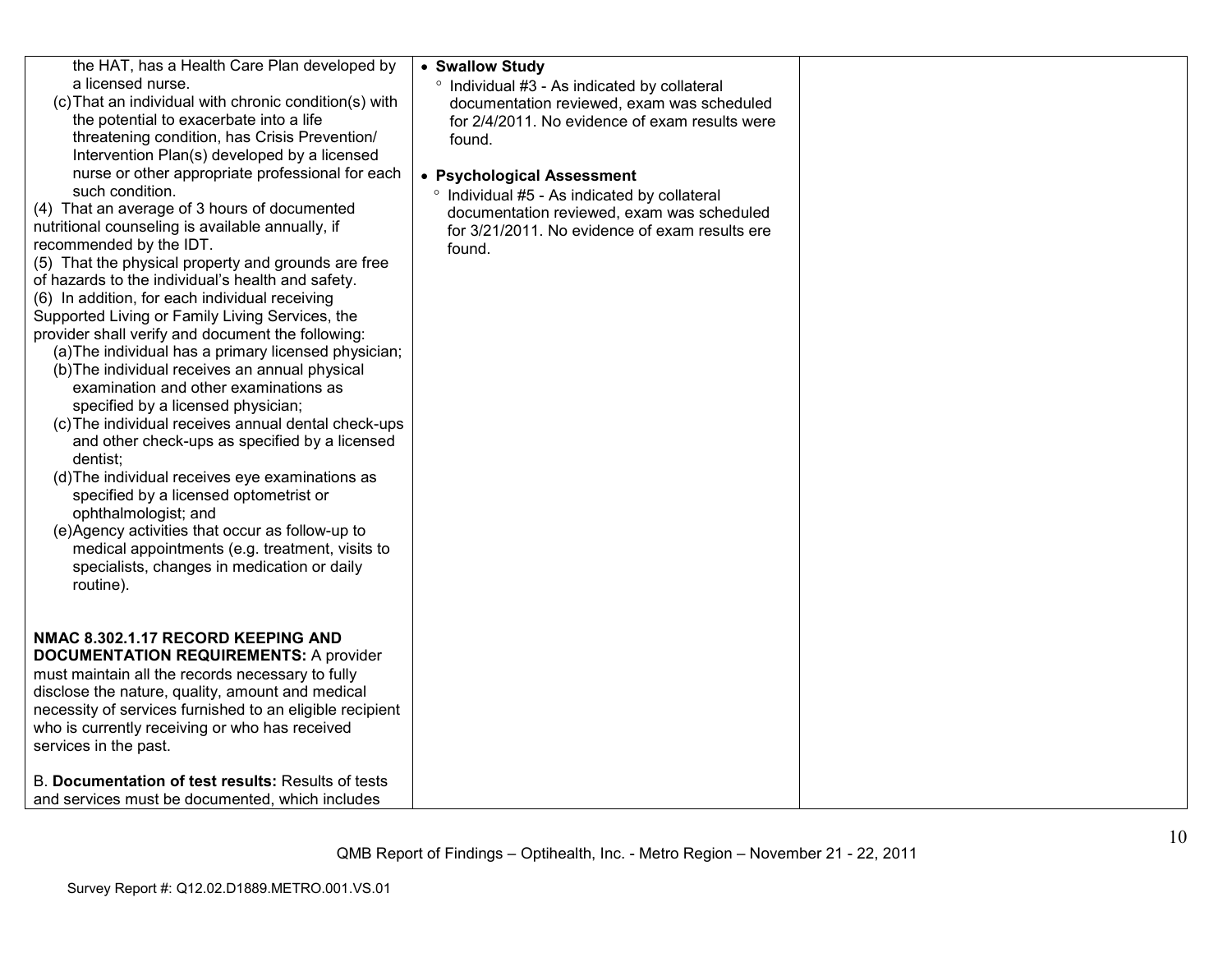| the HAT, has a Health Care Plan developed by<br>a licensed nurse.<br>(c) That an individual with chronic condition(s) with<br>the potential to exacerbate into a life<br>threatening condition, has Crisis Prevention/<br>Intervention Plan(s) developed by a licensed<br>nurse or other appropriate professional for each<br>such condition.<br>(4) That an average of 3 hours of documented<br>nutritional counseling is available annually, if<br>recommended by the IDT.<br>(5) That the physical property and grounds are free<br>of hazards to the individual's health and safety.<br>(6) In addition, for each individual receiving<br>Supported Living or Family Living Services, the<br>provider shall verify and document the following:<br>(a) The individual has a primary licensed physician;<br>(b) The individual receives an annual physical<br>examination and other examinations as<br>specified by a licensed physician;<br>(c) The individual receives annual dental check-ups<br>and other check-ups as specified by a licensed<br>dentist;<br>(d) The individual receives eye examinations as<br>specified by a licensed optometrist or<br>ophthalmologist; and<br>(e)Agency activities that occur as follow-up to<br>medical appointments (e.g. treatment, visits to<br>specialists, changes in medication or daily<br>routine). | • Swallow Study<br>° Individual #3 - As indicated by collateral<br>documentation reviewed, exam was scheduled<br>for 2/4/2011. No evidence of exam results were<br>found.<br>• Psychological Assessment<br>° Individual #5 - As indicated by collateral<br>documentation reviewed, exam was scheduled<br>for 3/21/2011. No evidence of exam results ere<br>found. |  |
|---------------------------------------------------------------------------------------------------------------------------------------------------------------------------------------------------------------------------------------------------------------------------------------------------------------------------------------------------------------------------------------------------------------------------------------------------------------------------------------------------------------------------------------------------------------------------------------------------------------------------------------------------------------------------------------------------------------------------------------------------------------------------------------------------------------------------------------------------------------------------------------------------------------------------------------------------------------------------------------------------------------------------------------------------------------------------------------------------------------------------------------------------------------------------------------------------------------------------------------------------------------------------------------------------------------------------------------------------------|-------------------------------------------------------------------------------------------------------------------------------------------------------------------------------------------------------------------------------------------------------------------------------------------------------------------------------------------------------------------|--|
| NMAC 8.302.1.17 RECORD KEEPING AND<br><b>DOCUMENTATION REQUIREMENTS: A provider</b><br>must maintain all the records necessary to fully<br>disclose the nature, quality, amount and medical<br>necessity of services furnished to an eligible recipient<br>who is currently receiving or who has received<br>services in the past.                                                                                                                                                                                                                                                                                                                                                                                                                                                                                                                                                                                                                                                                                                                                                                                                                                                                                                                                                                                                                      |                                                                                                                                                                                                                                                                                                                                                                   |  |
| B. Documentation of test results: Results of tests<br>and services must be documented, which includes                                                                                                                                                                                                                                                                                                                                                                                                                                                                                                                                                                                                                                                                                                                                                                                                                                                                                                                                                                                                                                                                                                                                                                                                                                                   |                                                                                                                                                                                                                                                                                                                                                                   |  |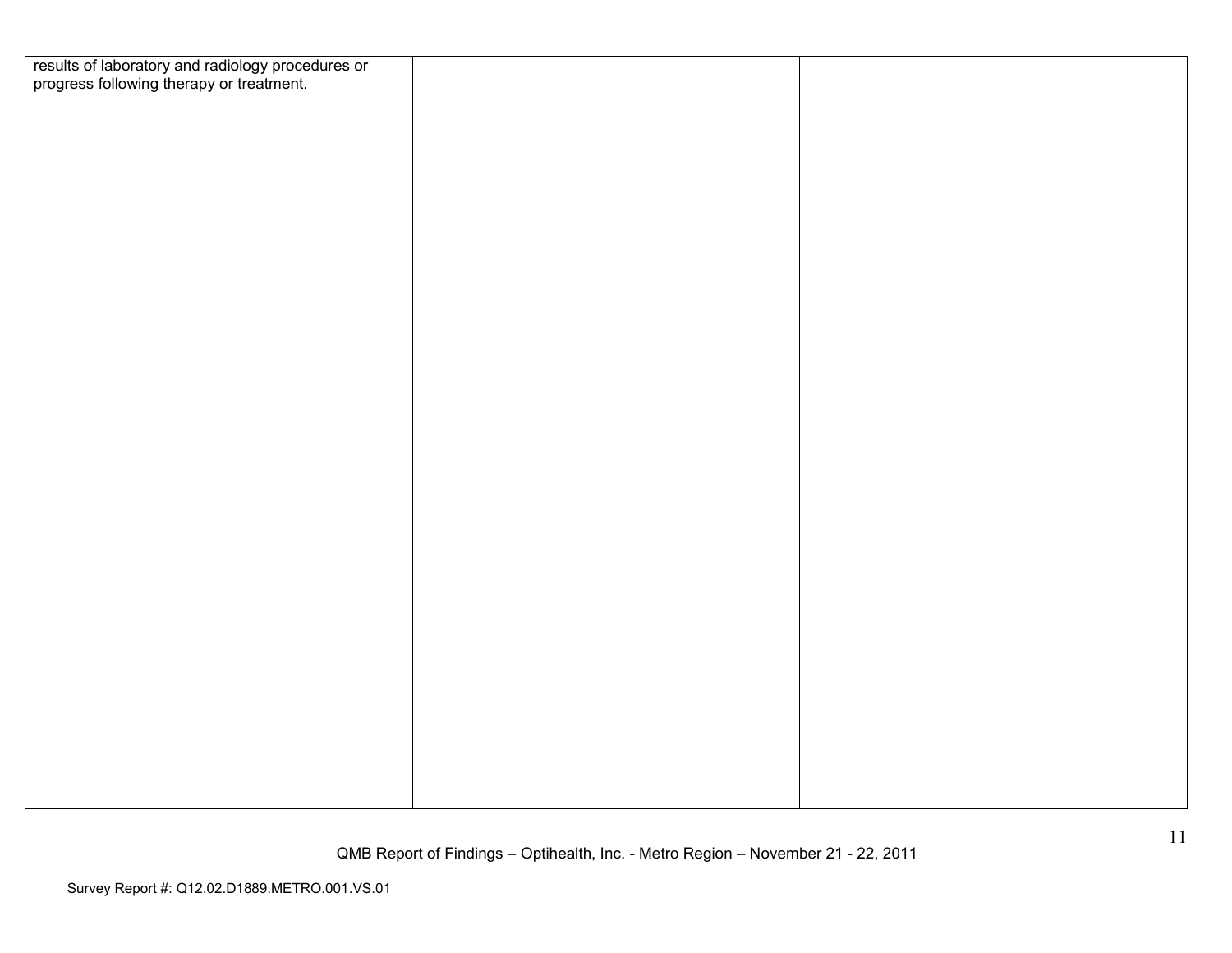| results of laboratory and radiology procedures or<br>progress following therapy or treatment. |  |
|-----------------------------------------------------------------------------------------------|--|
|                                                                                               |  |
|                                                                                               |  |
|                                                                                               |  |
|                                                                                               |  |
|                                                                                               |  |
|                                                                                               |  |
|                                                                                               |  |
|                                                                                               |  |
|                                                                                               |  |
|                                                                                               |  |
|                                                                                               |  |
|                                                                                               |  |
|                                                                                               |  |
|                                                                                               |  |
|                                                                                               |  |
|                                                                                               |  |
|                                                                                               |  |
|                                                                                               |  |
|                                                                                               |  |
|                                                                                               |  |
|                                                                                               |  |
|                                                                                               |  |
|                                                                                               |  |
|                                                                                               |  |
|                                                                                               |  |
|                                                                                               |  |
|                                                                                               |  |
|                                                                                               |  |
|                                                                                               |  |
|                                                                                               |  |
|                                                                                               |  |
|                                                                                               |  |
|                                                                                               |  |
|                                                                                               |  |
|                                                                                               |  |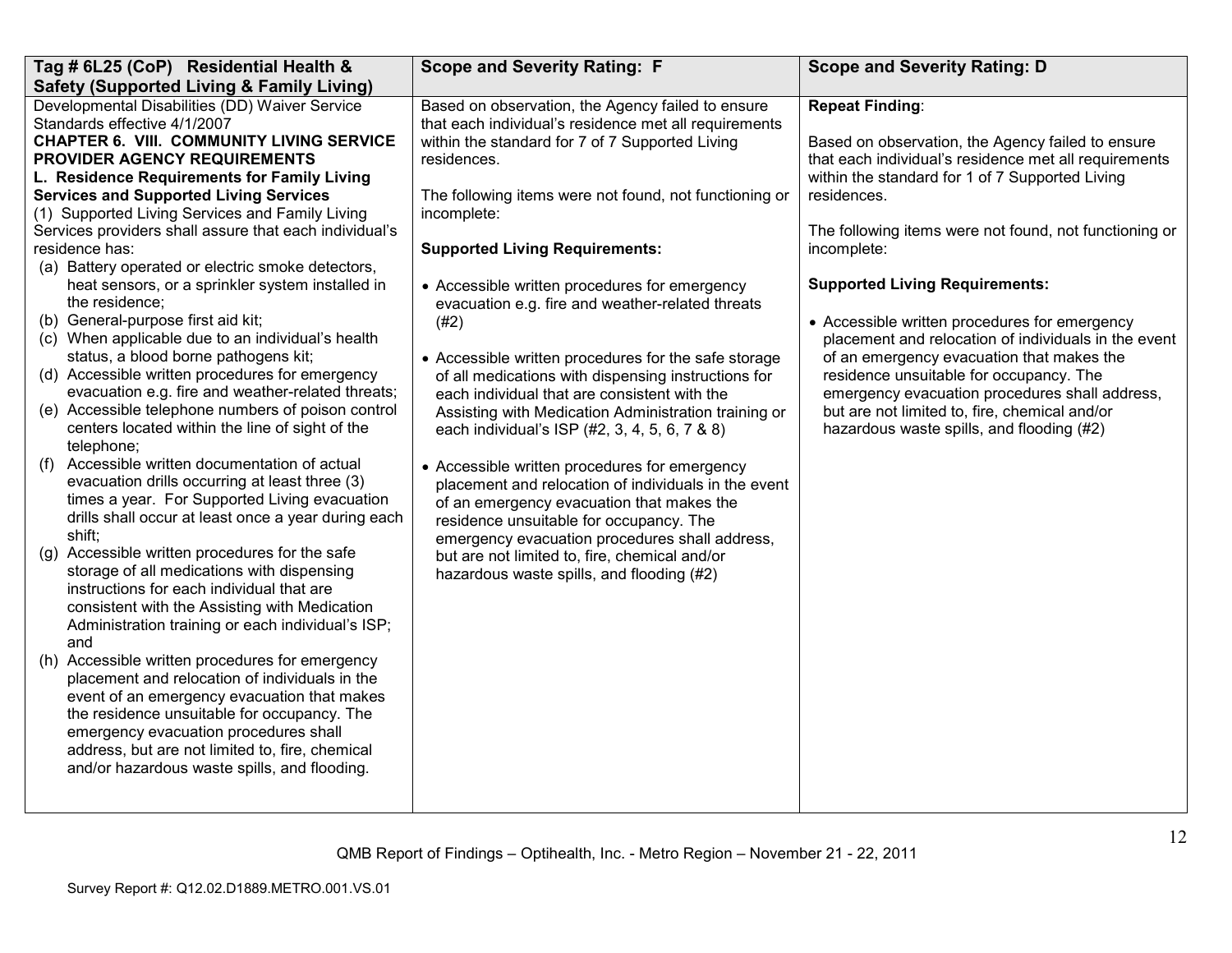| Developmental Disabilities (DD) Waiver Service<br><b>Repeat Finding:</b><br>Based on observation, the Agency failed to ensure<br>Standards effective 4/1/2007<br>that each individual's residence met all requirements<br><b>CHAPTER 6. VIII. COMMUNITY LIVING SERVICE</b><br>within the standard for 7 of 7 Supported Living<br>Based on observation, the Agency failed to ensure<br>that each individual's residence met all requirements<br>PROVIDER AGENCY REQUIREMENTS<br>residences.<br>within the standard for 1 of 7 Supported Living<br>L. Residence Requirements for Family Living<br><b>Services and Supported Living Services</b><br>The following items were not found, not functioning or<br>residences.<br>(1) Supported Living Services and Family Living<br>incomplete:<br>Services providers shall assure that each individual's<br>residence has:<br><b>Supported Living Requirements:</b><br>incomplete:<br>(a) Battery operated or electric smoke detectors,<br>heat sensors, or a sprinkler system installed in<br><b>Supported Living Requirements:</b><br>• Accessible written procedures for emergency<br>the residence:<br>evacuation e.g. fire and weather-related threats<br>(b) General-purpose first aid kit;<br>(#2)<br>• Accessible written procedures for emergency<br>(c) When applicable due to an individual's health<br>status, a blood borne pathogens kit;                                                                                                                                                                                                                                                                                                                                                                                                                         | Tag # 6L25 (CoP) Residential Health &                | <b>Scope and Severity Rating: F</b>                  | <b>Scope and Severity Rating: D</b>                                                                                                                         |
|---------------------------------------------------------------------------------------------------------------------------------------------------------------------------------------------------------------------------------------------------------------------------------------------------------------------------------------------------------------------------------------------------------------------------------------------------------------------------------------------------------------------------------------------------------------------------------------------------------------------------------------------------------------------------------------------------------------------------------------------------------------------------------------------------------------------------------------------------------------------------------------------------------------------------------------------------------------------------------------------------------------------------------------------------------------------------------------------------------------------------------------------------------------------------------------------------------------------------------------------------------------------------------------------------------------------------------------------------------------------------------------------------------------------------------------------------------------------------------------------------------------------------------------------------------------------------------------------------------------------------------------------------------------------------------------------------------------------------------------------------------------------------------------------------------------------------|------------------------------------------------------|------------------------------------------------------|-------------------------------------------------------------------------------------------------------------------------------------------------------------|
| (d) Accessible written procedures for emergency<br>residence unsuitable for occupancy. The<br>of all medications with dispensing instructions for<br>evacuation e.g. fire and weather-related threats;<br>emergency evacuation procedures shall address,<br>each individual that are consistent with the<br>(e) Accessible telephone numbers of poison control<br>but are not limited to, fire, chemical and/or<br>Assisting with Medication Administration training or<br>centers located within the line of sight of the<br>hazardous waste spills, and flooding (#2)<br>each individual's ISP (#2, 3, 4, 5, 6, 7 & 8)<br>telephone;<br>Accessible written documentation of actual<br>(1)<br>• Accessible written procedures for emergency<br>evacuation drills occurring at least three (3)<br>placement and relocation of individuals in the event<br>times a year. For Supported Living evacuation<br>of an emergency evacuation that makes the<br>drills shall occur at least once a year during each<br>residence unsuitable for occupancy. The<br>shift:<br>emergency evacuation procedures shall address,<br>(g) Accessible written procedures for the safe<br>but are not limited to, fire, chemical and/or<br>storage of all medications with dispensing<br>hazardous waste spills, and flooding (#2)<br>instructions for each individual that are<br>consistent with the Assisting with Medication<br>Administration training or each individual's ISP;<br>and<br>(h) Accessible written procedures for emergency<br>placement and relocation of individuals in the<br>event of an emergency evacuation that makes<br>the residence unsuitable for occupancy. The<br>emergency evacuation procedures shall<br>address, but are not limited to, fire, chemical<br>and/or hazardous waste spills, and flooding. | <b>Safety (Supported Living &amp; Family Living)</b> | • Accessible written procedures for the safe storage | The following items were not found, not functioning or<br>placement and relocation of individuals in the event<br>of an emergency evacuation that makes the |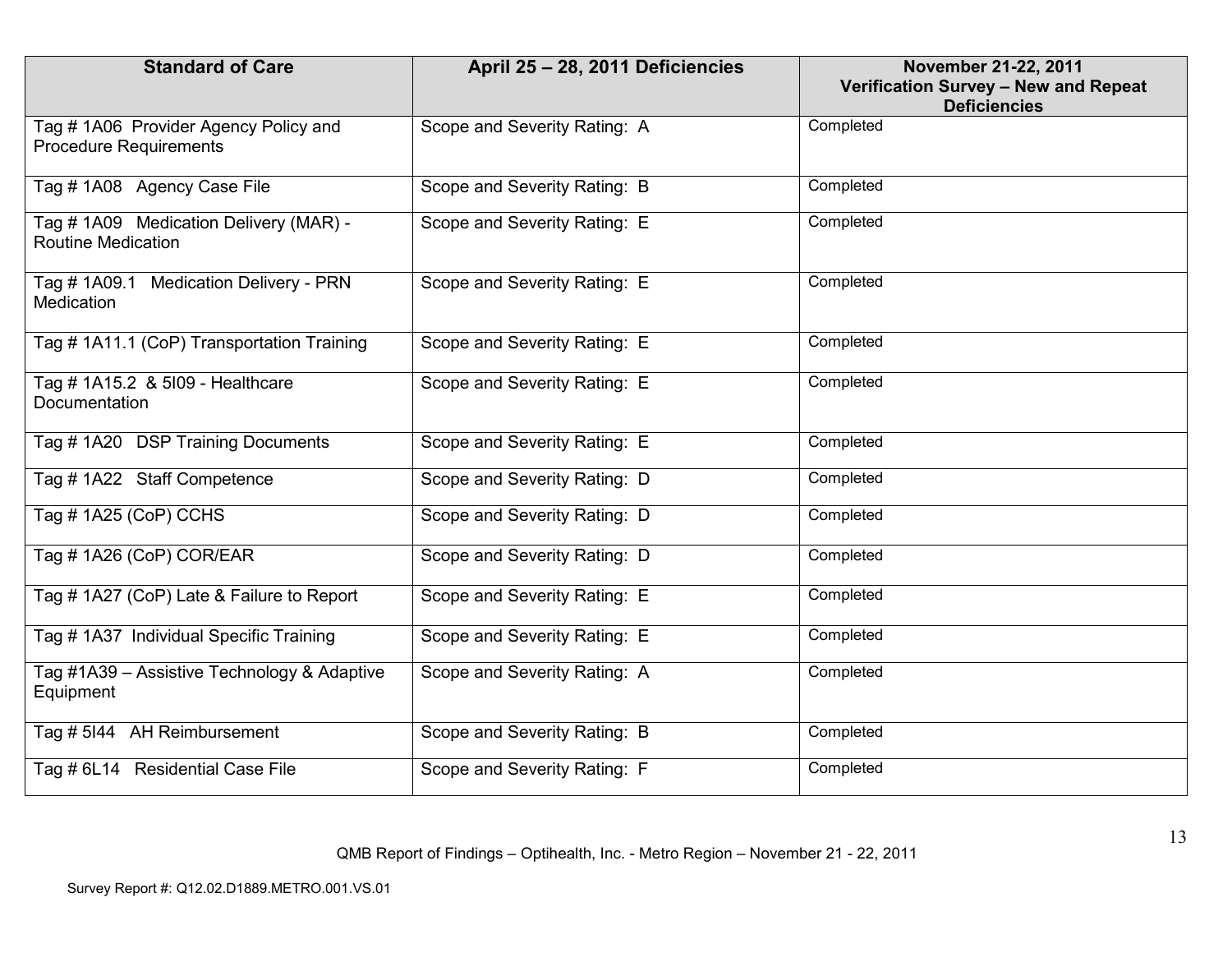| <b>Standard of Care</b>                                                | April 25 - 28, 2011 Deficiencies | November 21-22, 2011<br>Verification Survey - New and Repeat<br><b>Deficiencies</b> |
|------------------------------------------------------------------------|----------------------------------|-------------------------------------------------------------------------------------|
| Tag # 1A06 Provider Agency Policy and<br><b>Procedure Requirements</b> | Scope and Severity Rating: A     | Completed                                                                           |
| Tag # 1A08 Agency Case File                                            | Scope and Severity Rating: B     | Completed                                                                           |
| Tag # 1A09 Medication Delivery (MAR) -<br><b>Routine Medication</b>    | Scope and Severity Rating: E     | Completed                                                                           |
| Tag # 1A09.1 Medication Delivery - PRN<br>Medication                   | Scope and Severity Rating: E     | Completed                                                                           |
| Tag # 1A11.1 (CoP) Transportation Training                             | Scope and Severity Rating: E     | Completed                                                                           |
| Tag # 1A15.2 & 5l09 - Healthcare<br>Documentation                      | Scope and Severity Rating: E     | Completed                                                                           |
| Tag #1A20 DSP Training Documents                                       | Scope and Severity Rating: E     | Completed                                                                           |
| Tag #1A22 Staff Competence                                             | Scope and Severity Rating: D     | Completed                                                                           |
| Tag # 1A25 (CoP) CCHS                                                  | Scope and Severity Rating: D     | Completed                                                                           |
| Tag #1A26 (CoP) COR/EAR                                                | Scope and Severity Rating: D     | Completed                                                                           |
| Tag # 1A27 (CoP) Late & Failure to Report                              | Scope and Severity Rating: E     | Completed                                                                           |
| Tag # 1A37 Individual Specific Training                                | Scope and Severity Rating: E     | Completed                                                                           |
| Tag #1A39 - Assistive Technology & Adaptive<br>Equipment               | Scope and Severity Rating: A     | Completed                                                                           |
| Tag # 5144 AH Reimbursement                                            | Scope and Severity Rating: B     | Completed                                                                           |
| Tag # 6L14 Residential Case File                                       | Scope and Severity Rating: F     | Completed                                                                           |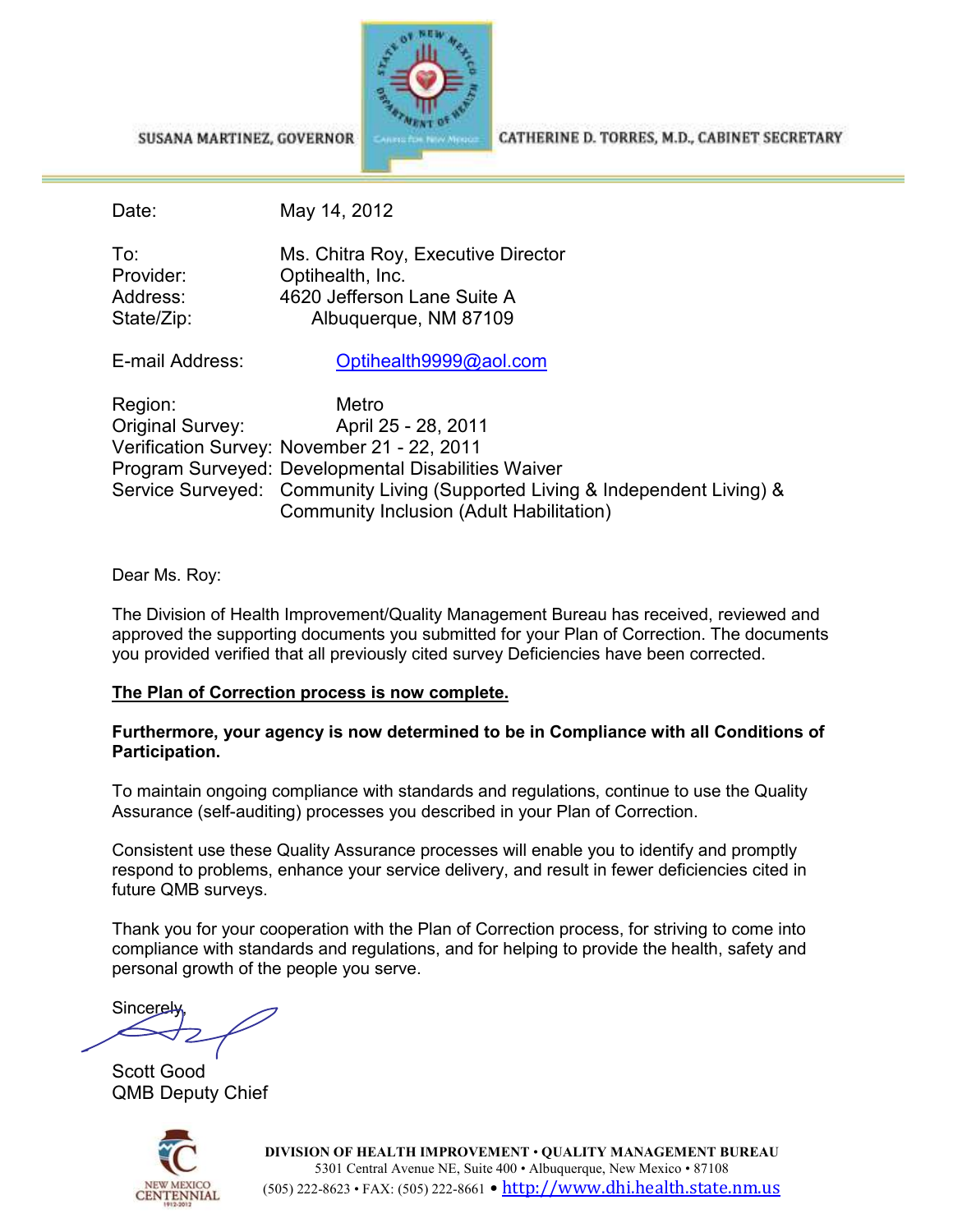SUSANA MARTINEZ, GOVERNOR



CATHERINE D. TORRES, M.D., CABINET SECRETARY

Date: May 14, 2012

| To:        | Ms. Chitra Roy, Executive Director |
|------------|------------------------------------|
| Provider:  | Optihealth, Inc.                   |
| Address:   | 4620 Jefferson Lane Suite A        |
| State/Zip: | Albuquerque, NM 87109              |

E-mail Address: Optihealth9999@aol.com

| Region:          | Metro                                                                        |
|------------------|------------------------------------------------------------------------------|
| Original Survey: | April 25 - 28, 2011                                                          |
|                  | Verification Survey: November 21 - 22, 2011                                  |
|                  | Program Surveyed: Developmental Disabilities Waiver                          |
|                  | Service Surveyed: Community Living (Supported Living & Independent Living) & |
|                  | Community Inclusion (Adult Habilitation)                                     |

### Dear Ms. Roy:

The Division of Health Improvement/Quality Management Bureau has received, reviewed and approved the supporting documents you submitted for your Plan of Correction. The documents you provided verified that all previously cited survey Deficiencies have been corrected.

# **The Plan of Correction process is now complete.**

### **Furthermore, your agency is now determined to be in Compliance with all Conditions of Participation.**

To maintain ongoing compliance with standards and regulations, continue to use the Quality Assurance (self-auditing) processes you described in your Plan of Correction.

Consistent use these Quality Assurance processes will enable you to identify and promptly respond to problems, enhance your service delivery, and result in fewer deficiencies cited in future QMB surveys.

Thank you for your cooperation with the Plan of Correction process, for striving to come into compliance with standards and regulations, and for helping to provide the health, safety and personal growth of the people you serve.

**Sincerely**  $\overline{\phantom{a}}$ 

Scott Good QMB Deputy Chief



**DIVISION OF HEALTH IMPROVEMENT** • **QUALITY MANAGEMENT BUREAU** 5301 Central Avenue NE, Suite 400 • Albuquerque, New Mexico • 87108 (505) 222-8623 • FAX: (505) 222-8661 • <u>http://www.dhi.health.state.nm.us</u>